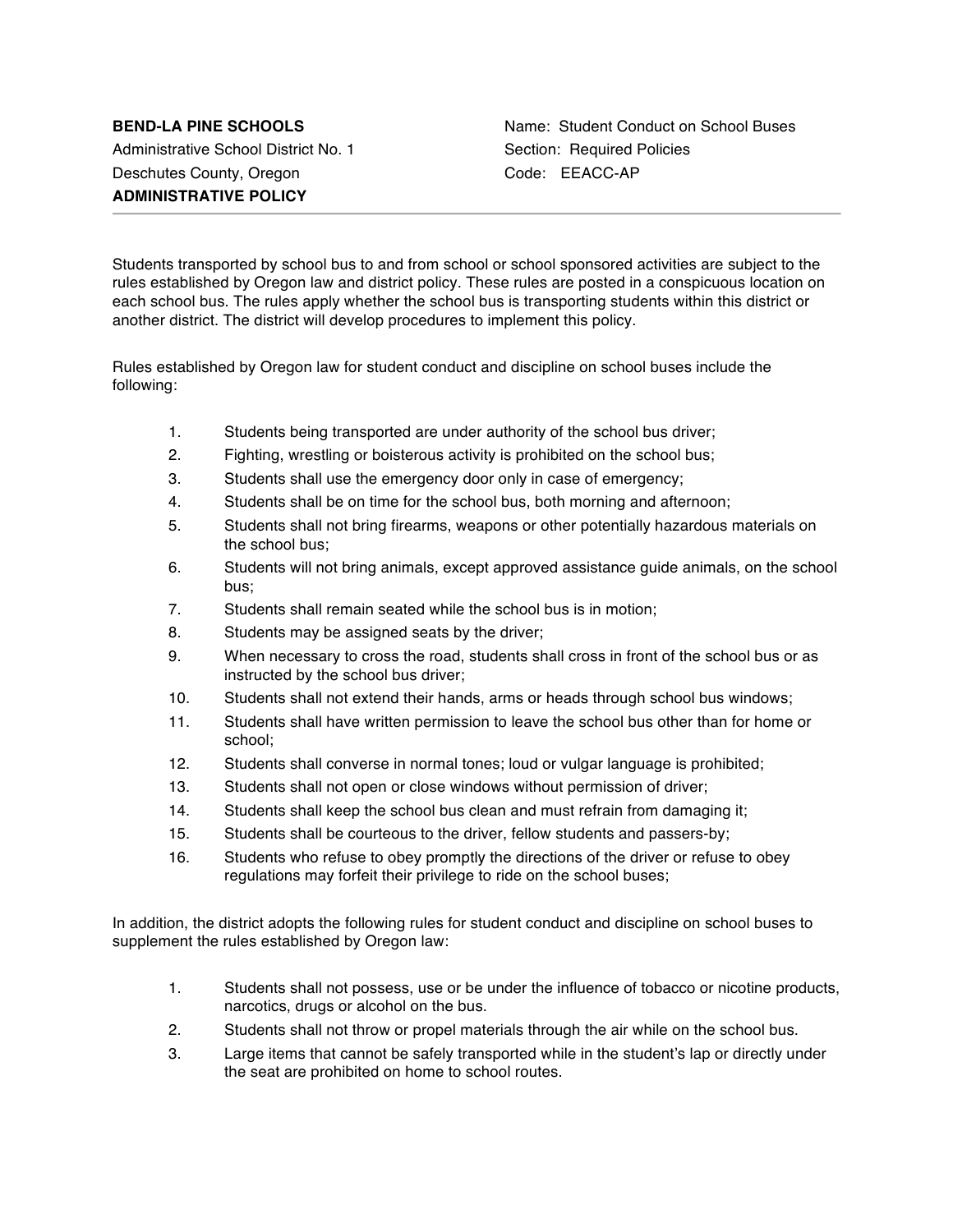Administrative School District No. 1 Section: Required Policies Deschutes County, Oregon Code: EEACC-AP **ADMINISTRATIVE POLICY**

Students transported by school bus to and from school or school sponsored activities are subject to the rules established by Oregon law and district policy. These rules are posted in a conspicuous location on each school bus. The rules apply whether the school bus is transporting students within this district or another district. The district will develop procedures to implement this policy.

Rules established by Oregon law for student conduct and discipline on school buses include the following:

- 1. Students being transported are under authority of the school bus driver;
- 2. Fighting, wrestling or boisterous activity is prohibited on the school bus;
- 3. Students shall use the emergency door only in case of emergency;
- 4. Students shall be on time for the school bus, both morning and afternoon;
- 5. Students shall not bring firearms, weapons or other potentially hazardous materials on the school bus;
- 6. Students will not bring animals, except approved assistance guide animals, on the school bus;
- 7. Students shall remain seated while the school bus is in motion;
- 8. Students may be assigned seats by the driver;
- 9. When necessary to cross the road, students shall cross in front of the school bus or as instructed by the school bus driver;
- 10. Students shall not extend their hands, arms or heads through school bus windows;
- 11. Students shall have written permission to leave the school bus other than for home or school;
- 12. Students shall converse in normal tones; loud or vulgar language is prohibited;
- 13. Students shall not open or close windows without permission of driver;
- 14. Students shall keep the school bus clean and must refrain from damaging it;
- 15. Students shall be courteous to the driver, fellow students and passers-by;
- 16. Students who refuse to obey promptly the directions of the driver or refuse to obey regulations may forfeit their privilege to ride on the school buses;

In addition, the district adopts the following rules for student conduct and discipline on school buses to supplement the rules established by Oregon law:

- 1. Students shall not possess, use or be under the influence of tobacco or nicotine products, narcotics, drugs or alcohol on the bus.
- 2. Students shall not throw or propel materials through the air while on the school bus.
- 3. Large items that cannot be safely transported while in the student's lap or directly under the seat are prohibited on home to school routes.